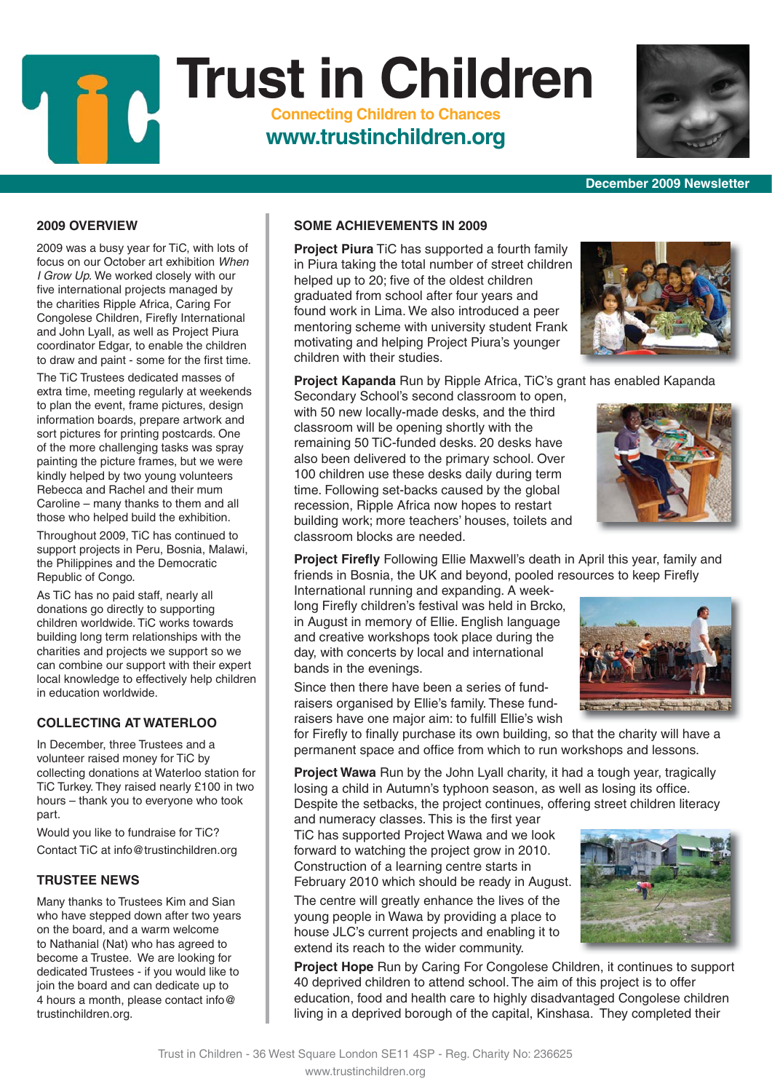## children with their studies. Secondary School's second classroom to open,

with 50 new locally-made desks, and the third classroom will be opening shortly with the remaining 50 TiC-funded desks. 20 desks have also been delivered to the primary school. Over 100 children use these desks daily during term time. Following set-backs caused by the global recession, Ripple Africa now hopes to restart classroom blocks are needed.

## **Project Kapanda** Run by Ripple Africa, TiC's grant has enabled Kapanda

building work; more teachers' houses, toilets and

**Project Firefly** Following Ellie Maxwell's death in April this year, family and friends in Bosnia, the UK and beyond, pooled resources to keep Firefly

International running and expanding. A weeklong Firefly children's festival was held in Brcko, in August in memory of Ellie. English language and creative workshops took place during the day, with concerts by local and international bands in the evenings.

Since then there have been a series of fundraisers organised by Ellie's family. These fundraisers have one major aim: to fulfill Ellie's wish

for Firefly to finally purchase its own building, so that the charity will have a permanent space and office from which to run workshops and lessons.

**Project Wawa** Run by the John Lyall charity, it had a tough year, tragically losing a child in Autumn's typhoon season, as well as losing its office. Despite the setbacks, the project continues, offering street children literacy

and numeracy classes. This is the first year TiC has supported Project Wawa and we look forward to watching the project grow in 2010. Construction of a learning centre starts in February 2010 which should be ready in August.

The centre will greatly enhance the lives of the young people in Wawa by providing a place to house JLC's current projects and enabling it to extend its reach to the wider community.

**Project Hope** Run by Caring For Congolese Children, it continues to support 40 deprived children to attend school. The aim of this project is to offer education, food and health care to highly disadvantaged Congolese children living in a deprived borough of the capital, Kinshasa. They completed their

### **2009 OVERVIEW**

2009 was a busy year for TiC, with lots of focus on our October art exhibition *When I Grow Up.* We worked closely with our five international projects managed by the charities Ripple Africa, Caring For Congolese Children, Firefly International and John Lyall, as well as Project Piura coordinator Edgar, to enable the children to draw and paint - some for the first time.

The TiC Trustees dedicated masses of extra time, meeting regularly at weekends to plan the event, frame pictures, design information boards, prepare artwork and sort pictures for printing postcards. One of the more challenging tasks was spray painting the picture frames, but we were kindly helped by two young volunteers Rebecca and Rachel and their mum Caroline – many thanks to them and all those who helped build the exhibition.

Throughout 2009, TiC has continued to support projects in Peru, Bosnia, Malawi, the Philippines and the Democratic Republic of Congo.

As TiC has no paid staff, nearly all donations go directly to supporting children worldwide. TiC works towards building long term relationships with the charities and projects we support so we can combine our support with their expert local knowledge to effectively help children in education worldwide.

#### **COLLECTING AT WATERLOO**

In December, three Trustees and a volunteer raised money for TiC by collecting donations at Waterloo station for TiC Turkey. They raised nearly £100 in two hours – thank you to everyone who took part.

Would you like to fundraise for TiC? Contact TiC at info@trustinchildren.org

#### **TRUSTEE NEWS**

Many thanks to Trustees Kim and Sian who have stepped down after two years on the board, and a warm welcome to Nathanial (Nat) who has agreed to become a Trustee. We are looking for dedicated Trustees - if you would like to join the board and can dedicate up to 4 hours a month, please contact info@ trustinchildren.org.

**Trust in Children Connecting Children to Chances**

## **www.trustinchildren.org**

**SOME ACHIEVEMENTS IN 2009**

**Project Piura** TiC has supported a fourth family in Piura taking the total number of street children helped up to 20; five of the oldest children graduated from school after four years and found work in Lima. We also introduced a peer mentoring scheme with university student Frank motivating and helping Project Piura's younger

**December 2009 Newsletter**